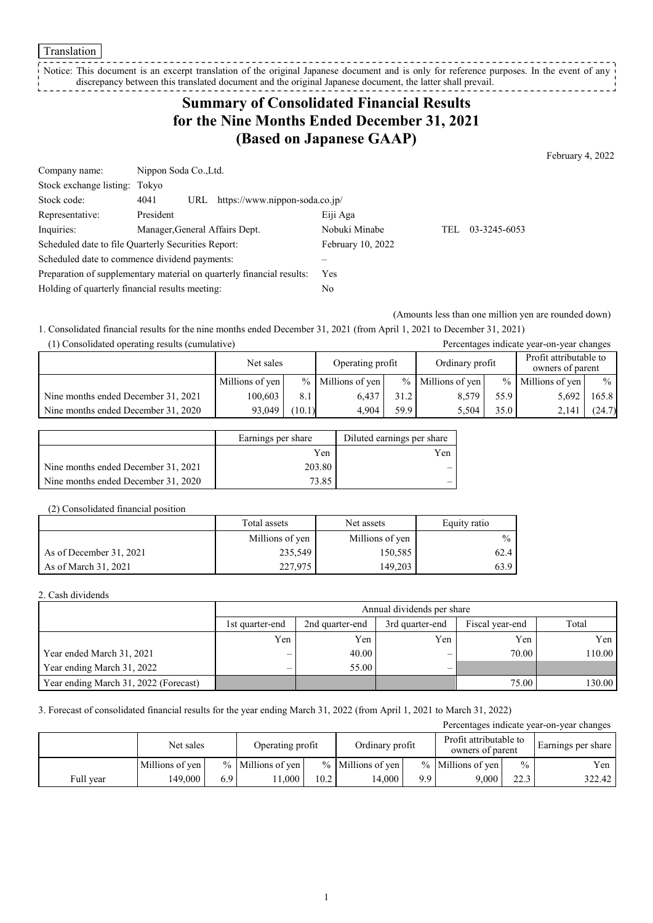#### Translation

Notice: This document is an excerpt translation of the original Japanese document and is only for reference purposes. In the event of any discrepancy between this translated document and the original Japanese document, the latter shall prevail. ---------------

# **Summary of Consolidated Financial Results for the Nine Months Ended December 31, 2021 (Based on Japanese GAAP)**

February 4, 2022

| Company name:                                                         |                                | Nippon Soda Co., Ltd. |                                |               |     |              |  |
|-----------------------------------------------------------------------|--------------------------------|-----------------------|--------------------------------|---------------|-----|--------------|--|
| Stock exchange listing: Tokyo                                         |                                |                       |                                |               |     |              |  |
| Stock code:                                                           | 4041                           | URL                   | https://www.nippon-soda.co.jp/ |               |     |              |  |
| Representative:                                                       | President                      |                       |                                | Eiji Aga      |     |              |  |
| Inquiries:                                                            | Manager, General Affairs Dept. |                       |                                | Nobuki Minabe | TEL | 03-3245-6053 |  |
| Scheduled date to file Quarterly Securities Report:                   |                                |                       | February 10, 2022              |               |     |              |  |
| Scheduled date to commence dividend payments:                         |                                |                       |                                |               |     |              |  |
| Preparation of supplementary material on quarterly financial results: |                                | Yes                   |                                |               |     |              |  |
| Holding of quarterly financial results meeting:                       |                                |                       | No                             |               |     |              |  |

(Amounts less than one million yen are rounded down)

1. Consolidated financial results for the nine months ended December 31, 2021 (from April 1, 2021 to December 31, 2021)

| (1) Consolidated operating results (cumulative) |                 |                  |                   |                 |                     |                                            | Percentages indicate year-on-year changes |               |
|-------------------------------------------------|-----------------|------------------|-------------------|-----------------|---------------------|--------------------------------------------|-------------------------------------------|---------------|
|                                                 | Net sales       | Operating profit |                   | Ordinary profit |                     | Profit attributable to<br>owners of parent |                                           |               |
|                                                 | Millions of yen |                  | % Millions of yen |                 | $%$ Millions of yen | $\frac{0}{0}$                              | Millions of yen                           | $\frac{0}{0}$ |
| Nine months ended December 31, 2021             | 100.603         | 8.1              | 6.437             | 31.2            | 8.579               | 55.9                                       | 5.692                                     | 165.8         |
| Nine months ended December 31, 2020             | 93,049          | (10.1)           | 4.904             | 59.9            | 5.504               | 35.0                                       | 2.141                                     | (24.7)        |

|                                     | Earnings per share | Diluted earnings per share |
|-------------------------------------|--------------------|----------------------------|
|                                     | Yen                | Yen                        |
| Nine months ended December 31, 2021 | 203.80             |                            |
| Nine months ended December 31, 2020 | 73.85              |                            |

#### (2) Consolidated financial position

|                         | Total assets    | Net assets      | Equity ratio |
|-------------------------|-----------------|-----------------|--------------|
|                         | Millions of yen | Millions of yen | $\%$         |
| As of December 31, 2021 | 235,549         | 150,585         | 62.4 I       |
| As of March 31, 2021    | 227,975         | 149.203         | 63.9 I       |

### 2. Cash dividends

|                                       |                 | Annual dividends per share |                 |                 |        |  |  |  |
|---------------------------------------|-----------------|----------------------------|-----------------|-----------------|--------|--|--|--|
|                                       | 1st quarter-end | 2nd quarter-end            | 3rd quarter-end | Fiscal year-end | Total  |  |  |  |
|                                       | Yen             | Yen                        | Yen             | Yen             | Yen    |  |  |  |
| Year ended March 31, 2021             | –               | 40.00                      |                 | 70.00           | 110.00 |  |  |  |
| Year ending March 31, 2022            | –               | 55.00                      |                 |                 |        |  |  |  |
| Year ending March 31, 2022 (Forecast) |                 |                            |                 | 75.00           | 130.00 |  |  |  |

### 3. Forecast of consolidated financial results for the year ending March 31, 2022 (from April 1, 2021 to March 31, 2022)

| Percentages indicate year-on-year changes |                 |     |                     |                                     |                     |                                            |                     |               |                    |
|-------------------------------------------|-----------------|-----|---------------------|-------------------------------------|---------------------|--------------------------------------------|---------------------|---------------|--------------------|
|                                           | Net sales       |     |                     | Operating profit<br>Ordinary profit |                     | Profit attributable to<br>owners of parent |                     |               | Earnings per share |
|                                           | Millions of yen |     | $%$ Millions of yen |                                     | $%$ Millions of ven |                                            | $%$ Millions of ven | $\frac{0}{0}$ | Yen                |
| Full year                                 | 149.000         | 6.9 | 1.000               | 10.2                                | 14.000              | 9.9                                        | 9.000               | 22.3          | 322.42             |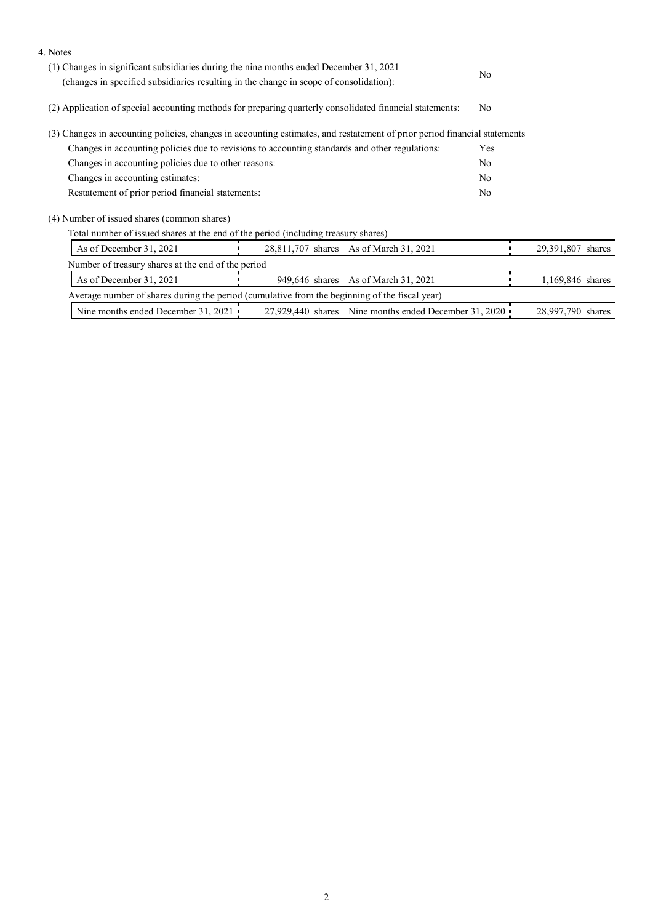| 4. Notes                                                                                                                  |                                                                                        |                                                         |  |                   |  |
|---------------------------------------------------------------------------------------------------------------------------|----------------------------------------------------------------------------------------|---------------------------------------------------------|--|-------------------|--|
| (1) Changes in significant subsidiaries during the nine months ended December 31, 2021                                    | N <sub>o</sub>                                                                         |                                                         |  |                   |  |
|                                                                                                                           | (changes in specified subsidiaries resulting in the change in scope of consolidation): |                                                         |  |                   |  |
| (2) Application of special accounting methods for preparing quarterly consolidated financial statements:                  |                                                                                        | N <sub>o</sub>                                          |  |                   |  |
| (3) Changes in accounting policies, changes in accounting estimates, and restatement of prior period financial statements |                                                                                        |                                                         |  |                   |  |
| Changes in accounting policies due to revisions to accounting standards and other regulations:                            |                                                                                        |                                                         |  |                   |  |
| Changes in accounting policies due to other reasons:                                                                      |                                                                                        |                                                         |  |                   |  |
| Changes in accounting estimates:                                                                                          |                                                                                        |                                                         |  |                   |  |
| Restatement of prior period financial statements:                                                                         |                                                                                        |                                                         |  |                   |  |
| (4) Number of issued shares (common shares)                                                                               |                                                                                        |                                                         |  |                   |  |
| Total number of issued shares at the end of the period (including treasury shares)                                        |                                                                                        |                                                         |  |                   |  |
| As of December 31, 2021                                                                                                   |                                                                                        | 28,811,707 shares   As of March 31, 2021                |  | 29,391,807 shares |  |
| Number of treasury shares at the end of the period                                                                        |                                                                                        |                                                         |  |                   |  |
| As of December 31, 2021                                                                                                   | 949,646 shares                                                                         | As of March 31, 2021                                    |  | 1,169,846 shares  |  |
| Average number of shares during the period (cumulative from the beginning of the fiscal year)                             |                                                                                        |                                                         |  |                   |  |
| Nine months ended December 31, 2021                                                                                       |                                                                                        | 27,929,440 shares   Nine months ended December 31, 2020 |  | 28,997,790 shares |  |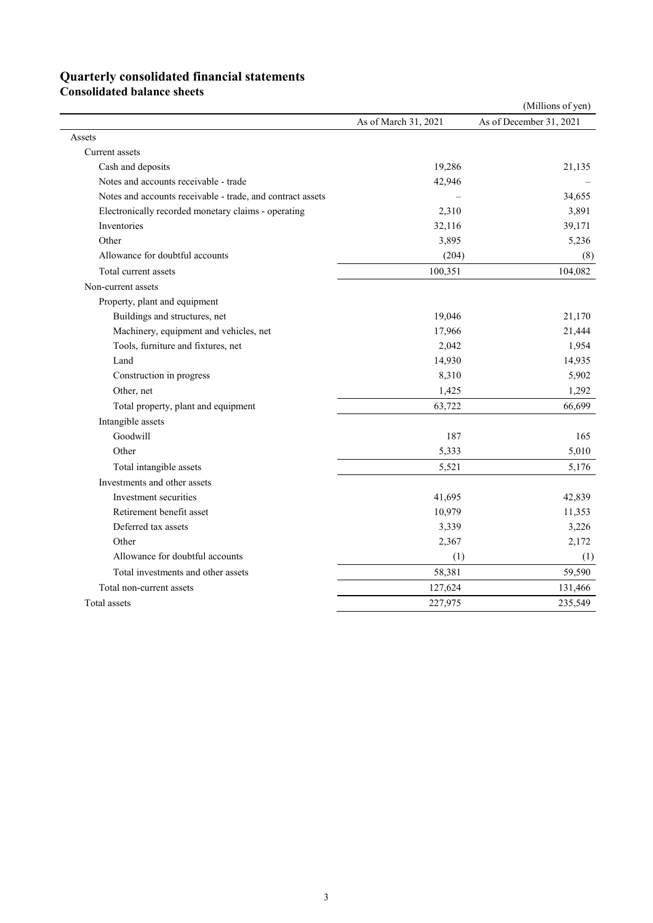# **Quarterly consolidated financial statements**

**Consolidated balance sheets** 

|                                                            |                      | (Millions of yen)       |
|------------------------------------------------------------|----------------------|-------------------------|
|                                                            | As of March 31, 2021 | As of December 31, 2021 |
| Assets                                                     |                      |                         |
| Current assets                                             |                      |                         |
| Cash and deposits                                          | 19,286               | 21,135                  |
| Notes and accounts receivable - trade                      | 42,946               |                         |
| Notes and accounts receivable - trade, and contract assets |                      | 34,655                  |
| Electronically recorded monetary claims - operating        | 2,310                | 3,891                   |
| Inventories                                                | 32,116               | 39,171                  |
| Other                                                      | 3,895                | 5,236                   |
| Allowance for doubtful accounts                            | (204)                | (8)                     |
| Total current assets                                       | 100,351              | 104,082                 |
| Non-current assets                                         |                      |                         |
| Property, plant and equipment                              |                      |                         |
| Buildings and structures, net                              | 19,046               | 21,170                  |
| Machinery, equipment and vehicles, net                     | 17,966               | 21,444                  |
| Tools, furniture and fixtures, net                         | 2,042                | 1,954                   |
| Land                                                       | 14,930               | 14,935                  |
| Construction in progress                                   | 8,310                | 5,902                   |
| Other, net                                                 | 1,425                | 1,292                   |
| Total property, plant and equipment                        | 63,722               | 66,699                  |
| Intangible assets                                          |                      |                         |
| Goodwill                                                   | 187                  | 165                     |
| Other                                                      | 5,333                | 5,010                   |
| Total intangible assets                                    | 5,521                | 5,176                   |
| Investments and other assets                               |                      |                         |
| Investment securities                                      | 41,695               | 42,839                  |
| Retirement benefit asset                                   | 10,979               | 11,353                  |
| Deferred tax assets                                        | 3,339                | 3,226                   |
| Other                                                      | 2,367                | 2,172                   |
| Allowance for doubtful accounts                            | (1)                  | (1)                     |
| Total investments and other assets                         | 58,381               | 59,590                  |
| Total non-current assets                                   | 127,624              | 131,466                 |
| Total assets                                               | 227,975              | 235,549                 |
|                                                            |                      |                         |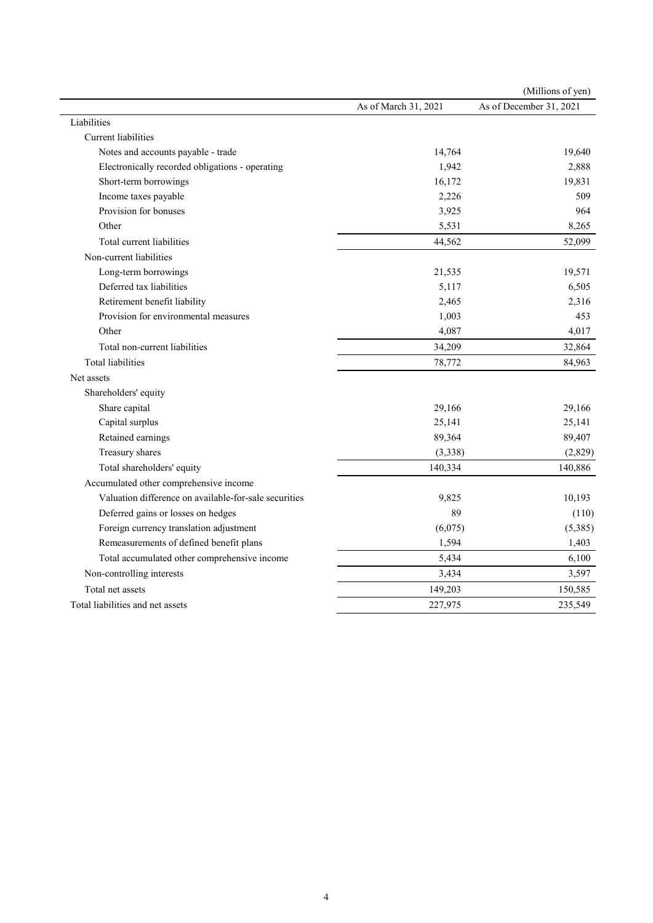|                                                       |                      | (Millions of yen)       |
|-------------------------------------------------------|----------------------|-------------------------|
|                                                       | As of March 31, 2021 | As of December 31, 2021 |
| Liabilities                                           |                      |                         |
| Current liabilities                                   |                      |                         |
| Notes and accounts payable - trade                    | 14,764               | 19,640                  |
| Electronically recorded obligations - operating       | 1,942                | 2,888                   |
| Short-term borrowings                                 | 16,172               | 19,831                  |
| Income taxes payable                                  | 2,226                | 509                     |
| Provision for bonuses                                 | 3,925                | 964                     |
| Other                                                 | 5,531                | 8,265                   |
| Total current liabilities                             | 44,562               | 52,099                  |
| Non-current liabilities                               |                      |                         |
| Long-term borrowings                                  | 21,535               | 19,571                  |
| Deferred tax liabilities                              | 5,117                | 6,505                   |
| Retirement benefit liability                          | 2,465                | 2,316                   |
| Provision for environmental measures                  | 1,003                | 453                     |
| Other                                                 | 4,087                | 4,017                   |
| Total non-current liabilities                         | 34,209               | 32,864                  |
| <b>Total liabilities</b>                              | 78,772               | 84,963                  |
| Net assets                                            |                      |                         |
| Shareholders' equity                                  |                      |                         |
| Share capital                                         | 29,166               | 29,166                  |
| Capital surplus                                       | 25,141               | 25,141                  |
| Retained earnings                                     | 89,364               | 89,407                  |
| Treasury shares                                       | (3,338)              | (2,829)                 |
| Total shareholders' equity                            | 140,334              | 140,886                 |
| Accumulated other comprehensive income                |                      |                         |
| Valuation difference on available-for-sale securities | 9,825                | 10,193                  |
| Deferred gains or losses on hedges                    | 89                   | (110)                   |
| Foreign currency translation adjustment               | (6,075)              | (5, 385)                |
| Remeasurements of defined benefit plans               | 1,594                | 1,403                   |
| Total accumulated other comprehensive income          | 5,434                | 6,100                   |
| Non-controlling interests                             | 3,434                | 3,597                   |
| Total net assets                                      | 149,203              | 150,585                 |
| Total liabilities and net assets                      | 227,975              | 235,549                 |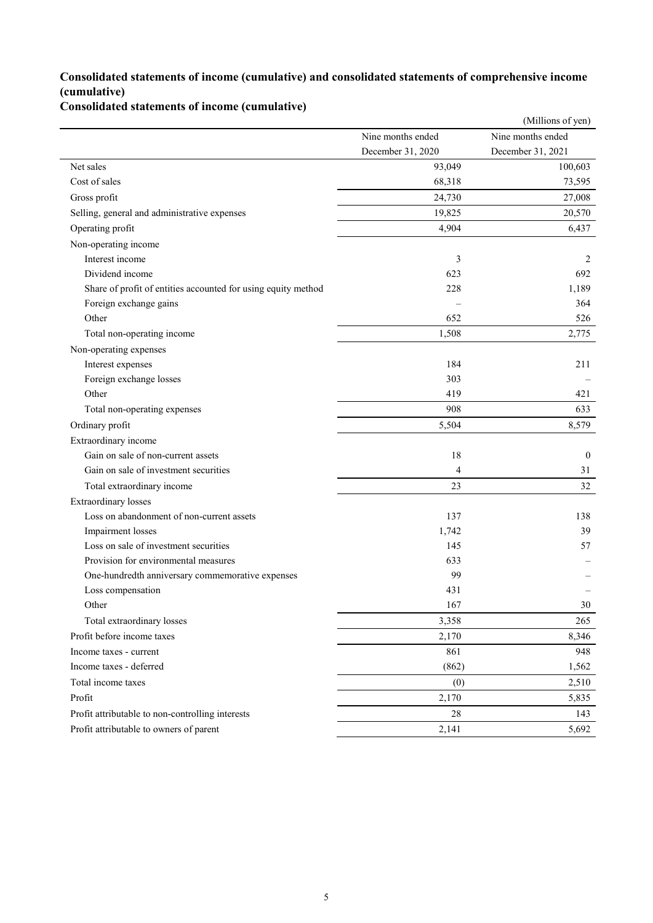### **Consolidated statements of income (cumulative) and consolidated statements of comprehensive income (cumulative)**

## **Consolidated statements of income (cumulative)**

|                                                               |                   | (Millions of yen) |
|---------------------------------------------------------------|-------------------|-------------------|
|                                                               | Nine months ended | Nine months ended |
|                                                               | December 31, 2020 | December 31, 2021 |
| Net sales                                                     | 93,049            | 100,603           |
| Cost of sales                                                 | 68,318            | 73,595            |
| Gross profit                                                  | 24,730            | 27,008            |
| Selling, general and administrative expenses                  | 19,825            | 20,570            |
| Operating profit                                              | 4,904             | 6,437             |
| Non-operating income                                          |                   |                   |
| Interest income                                               | 3                 | 2                 |
| Dividend income                                               | 623               | 692               |
| Share of profit of entities accounted for using equity method | 228               | 1,189             |
| Foreign exchange gains                                        |                   | 364               |
| Other                                                         | 652               | 526               |
| Total non-operating income                                    | 1,508             | 2,775             |
| Non-operating expenses                                        |                   |                   |
| Interest expenses                                             | 184               | 211               |
| Foreign exchange losses                                       | 303               |                   |
| Other                                                         | 419               | 421               |
| Total non-operating expenses                                  | 908               | 633               |
| Ordinary profit                                               | 5,504             | 8,579             |
| Extraordinary income                                          |                   |                   |
| Gain on sale of non-current assets                            | 18                | $\mathbf{0}$      |
| Gain on sale of investment securities                         | $\overline{4}$    | 31                |
| Total extraordinary income                                    | 23                | 32                |
| <b>Extraordinary losses</b>                                   |                   |                   |
| Loss on abandonment of non-current assets                     | 137               | 138               |
| Impairment losses                                             | 1,742             | 39                |
| Loss on sale of investment securities                         | 145               | 57                |
| Provision for environmental measures                          | 633               |                   |
| One-hundredth anniversary commemorative expenses              | 99                |                   |
| Loss compensation                                             | 431               |                   |
| Other                                                         | 167               | 30                |
| Total extraordinary losses                                    | 3,358             | 265               |
| Profit before income taxes                                    | 2,170             | 8,346             |
| Income taxes - current                                        | 861               | 948               |
| Income taxes - deferred                                       | (862)             | 1,562             |
| Total income taxes                                            | (0)               | 2,510             |
| Profit                                                        | 2,170             | 5,835             |
| Profit attributable to non-controlling interests              | 28                | 143               |
| Profit attributable to owners of parent                       | 2,141             | 5,692             |